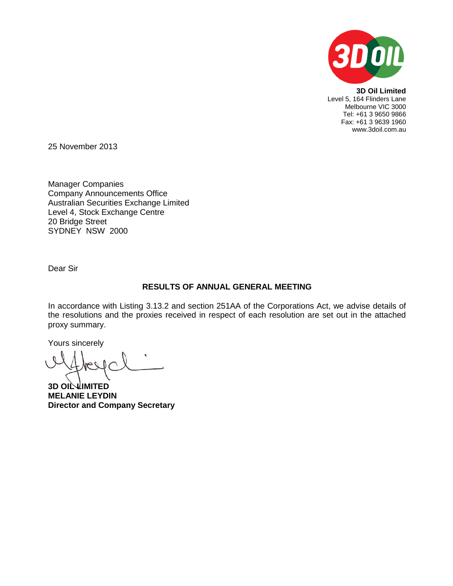

**3D Oil Limited** Level 5, 164 Flinders Lane Melbourne VIC 3000 Tel: +61 3 9650 9866 Fax: +61 3 9639 1960 www.3doil.com.au

25 November 2013

Manager Companies Company Announcements Office Australian Securities Exchange Limited Level 4, Stock Exchange Centre 20 Bridge Street SYDNEY NSW 2000

Dear Sir

## **RESULTS OF ANNUAL GENERAL MEETING**

In accordance with Listing 3.13.2 and section 251AA of the Corporations Act, we advise details of the resolutions and the proxies received in respect of each resolution are set out in the attached proxy summary.

Yours sincerely

**3D OIL LIMITED MELANIE LEYDIN Director and Company Secretary**